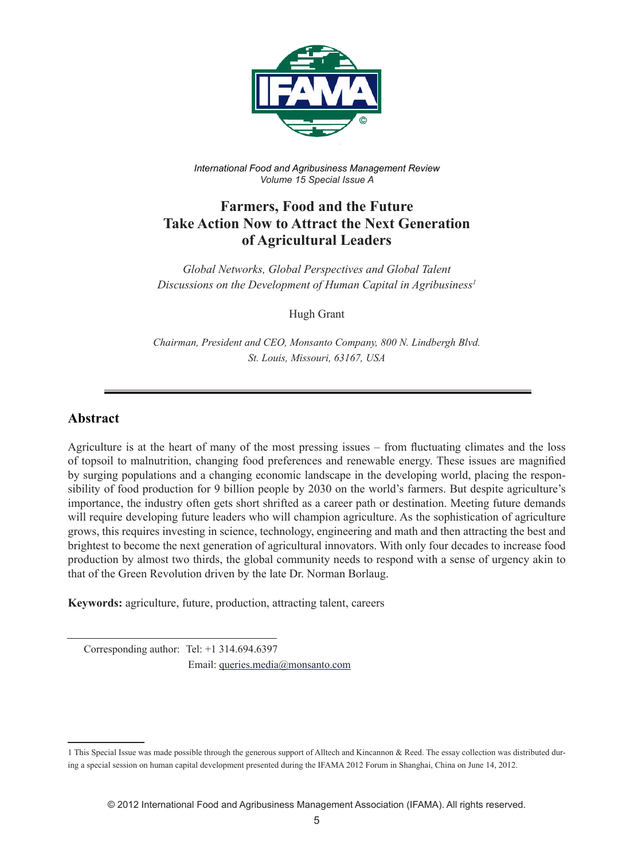

*International Food and Agribusiness Management Review Volume 15 Special Issue A*

# **Farmers, Food and the Future Take Action Now to Attract the Next Generation of Agricultural Leaders**

*Global Networks, Global Perspectives and Global Talent Discussions on the Development of Human Capital in Agribusiness1*

Hugh Grant

*Chairman, President and CEO, Monsanto Company, 800 N. Lindbergh Blvd. St. Louis, Missouri, 63167, USA*

#### **Abstract**

Agriculture is at the heart of many of the most pressing issues – from fluctuating climates and the loss of topsoil to malnutrition, changing food preferences and renewable energy. These issues are magnified by surging populations and a changing economic landscape in the developing world, placing the responsibility of food production for 9 billion people by 2030 on the world's farmers. But despite agriculture's importance, the industry often gets short shrifted as a career path or destination. Meeting future demands will require developing future leaders who will champion agriculture. As the sophistication of agriculture grows, this requires investing in science, technology, engineering and math and then attracting the best and brightest to become the next generation of agricultural innovators. With only four decades to increase food production by almost two thirds, the global community needs to respond with a sense of urgency akin to that of the Green Revolution driven by the late Dr. Norman Borlaug.

**Keywords:** agriculture, future, production, attracting talent, careers

 Corresponding author: Tel: +1 314.694.6397 Email: queries.media@monsanto.com

<sup>1</sup> This Special Issue was made possible through the generous support of Alltech and Kincannon & Reed. The essay collection was distributed during a special session on human capital development presented during the IFAMA 2012 Forum in Shanghai, China on June 14, 2012.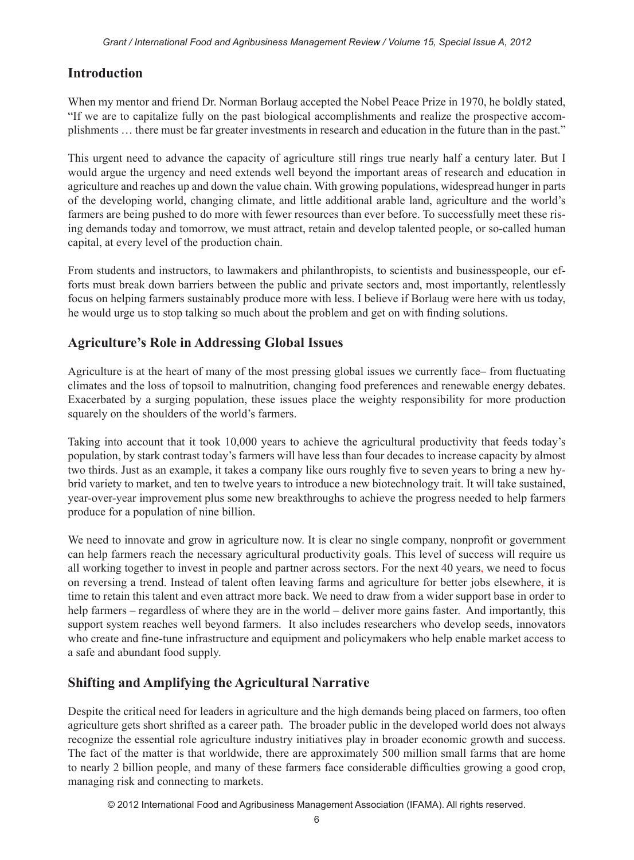#### **Introduction**

When my mentor and friend Dr. Norman Borlaug accepted the Nobel Peace Prize in 1970, he boldly stated, "If we are to capitalize fully on the past biological accomplishments and realize the prospective accomplishments … there must be far greater investments in research and education in the future than in the past."

This urgent need to advance the capacity of agriculture still rings true nearly half a century later. But I would argue the urgency and need extends well beyond the important areas of research and education in agriculture and reaches up and down the value chain. With growing populations, widespread hunger in parts of the developing world, changing climate, and little additional arable land, agriculture and the world's farmers are being pushed to do more with fewer resources than ever before. To successfully meet these rising demands today and tomorrow, we must attract, retain and develop talented people, or so-called human capital, at every level of the production chain.

From students and instructors, to lawmakers and philanthropists, to scientists and businesspeople, our efforts must break down barriers between the public and private sectors and, most importantly, relentlessly focus on helping farmers sustainably produce more with less. I believe if Borlaug were here with us today, he would urge us to stop talking so much about the problem and get on with finding solutions.

## **Agriculture's Role in Addressing Global Issues**

Agriculture is at the heart of many of the most pressing global issues we currently face– from fluctuating climates and the loss of topsoil to malnutrition, changing food preferences and renewable energy debates. Exacerbated by a surging population, these issues place the weighty responsibility for more production squarely on the shoulders of the world's farmers.

Taking into account that it took 10,000 years to achieve the agricultural productivity that feeds today's population, by stark contrast today's farmers will have less than four decades to increase capacity by almost two thirds. Just as an example, it takes a company like ours roughly five to seven years to bring a new hybrid variety to market, and ten to twelve years to introduce a new biotechnology trait. It will take sustained, year-over-year improvement plus some new breakthroughs to achieve the progress needed to help farmers produce for a population of nine billion.

We need to innovate and grow in agriculture now. It is clear no single company, nonprofit or government can help farmers reach the necessary agricultural productivity goals. This level of success will require us all working together to invest in people and partner across sectors. For the next 40 years, we need to focus on reversing a trend. Instead of talent often leaving farms and agriculture for better jobs elsewhere, it is time to retain this talent and even attract more back. We need to draw from a wider support base in order to help farmers – regardless of where they are in the world – deliver more gains faster. And importantly, this support system reaches well beyond farmers. It also includes researchers who develop seeds, innovators who create and fine-tune infrastructure and equipment and policymakers who help enable market access to a safe and abundant food supply.

## **Shifting and Amplifying the Agricultural Narrative**

Despite the critical need for leaders in agriculture and the high demands being placed on farmers, too often agriculture gets short shrifted as a career path. The broader public in the developed world does not always recognize the essential role agriculture industry initiatives play in broader economic growth and success. The fact of the matter is that worldwide, there are approximately 500 million small farms that are home to nearly 2 billion people, and many of these farmers face considerable difficulties growing a good crop, managing risk and connecting to markets.